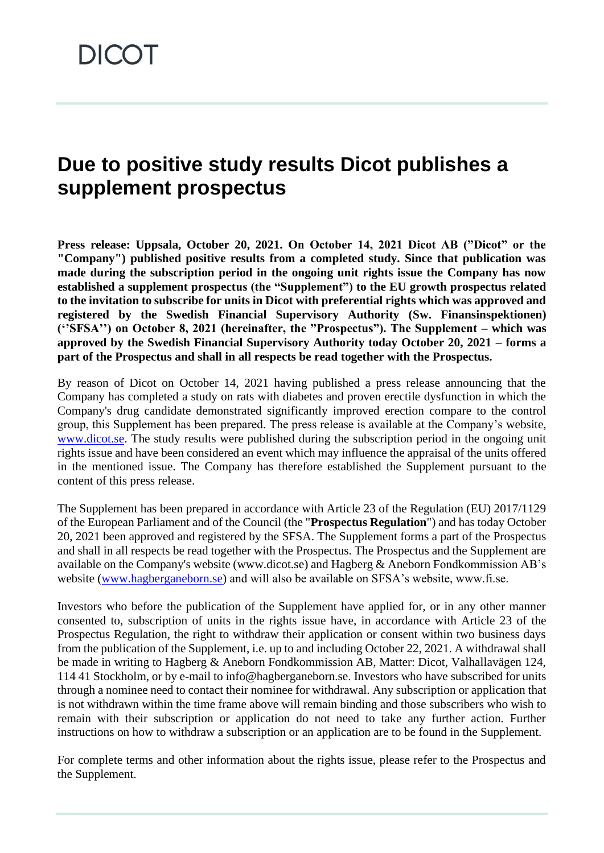### **Due to positive study results Dicot publishes a supplement prospectus**

**Press release: Uppsala, October 20, 2021. On October 14, 2021 Dicot AB ("Dicot" or the "Company") published positive results from a completed study. Since that publication was made during the subscription period in the ongoing unit rights issue the Company has now established a supplement prospectus (the "Supplement") to the EU growth prospectus related to the invitation to subscribe for units in Dicot with preferential rights which was approved and registered by the Swedish Financial Supervisory Authority (Sw. Finansinspektionen) (''SFSA'') on October 8, 2021 (hereinafter, the "Prospectus"). The Supplement – which was approved by the Swedish Financial Supervisory Authority today October 20, 2021 – forms a part of the Prospectus and shall in all respects be read together with the Prospectus.**

By reason of Dicot on October 14, 2021 having published a press release announcing that the Company has completed a study on rats with diabetes and proven erectile dysfunction in which the Company's drug candidate demonstrated significantly improved erection compare to the control group, this Supplement has been prepared. The press release is available at the Company's website, [www.dicot.se.](http://www.dicot.se/) The study results were published during the subscription period in the ongoing unit rights issue and have been considered an event which may influence the appraisal of the units offered in the mentioned issue. The Company has therefore established the Supplement pursuant to the content of this press release.

The Supplement has been prepared in accordance with Article 23 of the Regulation (EU) 2017/1129 of the European Parliament and of the Council (the "**Prospectus Regulation**") and has today October 20, 2021 been approved and registered by the SFSA. The Supplement forms a part of the Prospectus and shall in all respects be read together with the Prospectus. The Prospectus and the Supplement are available on the Company's website (www.dicot.se) and Hagberg & Aneborn Fondkommission AB's website [\(www.hagberganeborn.se\)](http://www.hagberganeborn.se/) and will also be available on SFSA's website, www.fi.se.

Investors who before the publication of the Supplement have applied for, or in any other manner consented to, subscription of units in the rights issue have, in accordance with Article 23 of the Prospectus Regulation, the right to withdraw their application or consent within two business days from the publication of the Supplement, i.e. up to and including October 22, 2021. A withdrawal shall be made in writing to Hagberg & Aneborn Fondkommission AB, Matter: Dicot, Valhallavägen 124, 114 41 Stockholm, or by e-mail to info@hagberganeborn.se. Investors who have subscribed for units through a nominee need to contact their nominee for withdrawal. Any subscription or application that is not withdrawn within the time frame above will remain binding and those subscribers who wish to remain with their subscription or application do not need to take any further action. Further instructions on how to withdraw a subscription or an application are to be found in the Supplement.

For complete terms and other information about the rights issue, please refer to the Prospectus and the Supplement.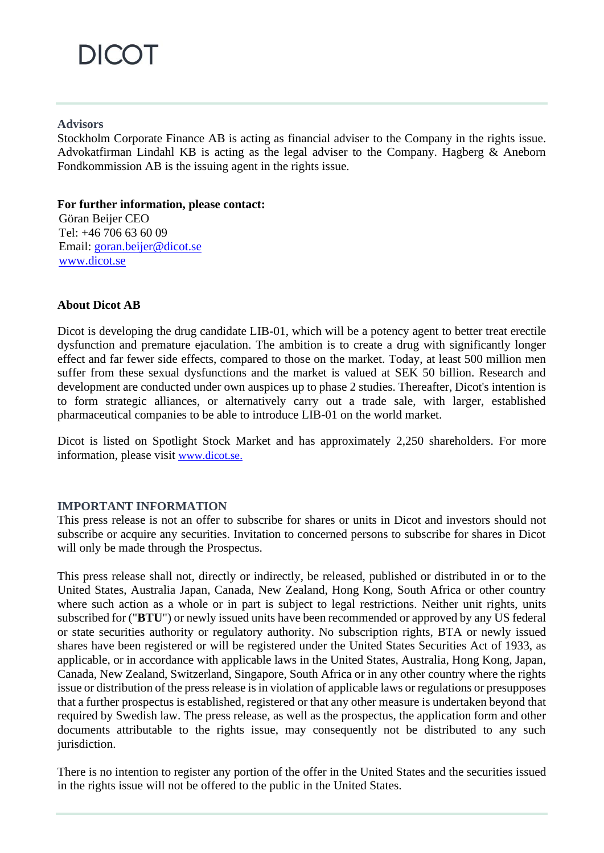## **DICOT**

#### **Advisors**

Stockholm Corporate Finance AB is acting as financial adviser to the Company in the rights issue. Advokatfirman Lindahl KB is acting as the legal adviser to the Company. Hagberg & Aneborn Fondkommission AB is the issuing agent in the rights issue.

#### **For further information, please contact:**

Göran Beijer CEO Tel: +46 706 63 60 09 Email: [goran.beijer@dicot.se](mailto:goran.beijer@dicot.se) www.dicot.se

#### **About Dicot AB**

Dicot is developing the drug candidate LIB-01, which will be a potency agent to better treat erectile dysfunction and premature ejaculation. The ambition is to create a drug with significantly longer effect and far fewer side effects, compared to those on the market. Today, at least 500 million men suffer from these sexual dysfunctions and the market is valued at SEK 50 billion. Research and development are conducted under own auspices up to phase 2 studies. Thereafter, Dicot's intention is to form strategic alliances, or alternatively carry out a trade sale, with larger, established pharmaceutical companies to be able to introduce LIB-01 on the world market.

Dicot is listed on Spotlight Stock Market and has approximately 2,250 shareholders. For more information, please visit [www.dicot.se.](http://www.dicot.se/)

#### **IMPORTANT INFORMATION**

This press release is not an offer to subscribe for shares or units in Dicot and investors should not subscribe or acquire any securities. Invitation to concerned persons to subscribe for shares in Dicot will only be made through the Prospectus.

This press release shall not, directly or indirectly, be released, published or distributed in or to the United States, Australia Japan, Canada, New Zealand, Hong Kong, South Africa or other country where such action as a whole or in part is subject to legal restrictions. Neither unit rights, units subscribed for ("**BTU**") or newly issued units have been recommended or approved by any US federal or state securities authority or regulatory authority. No subscription rights, BTA or newly issued shares have been registered or will be registered under the United States Securities Act of 1933, as applicable, or in accordance with applicable laws in the United States, Australia, Hong Kong, Japan, Canada, New Zealand, Switzerland, Singapore, South Africa or in any other country where the rights issue or distribution of the press release is in violation of applicable laws or regulations or presupposes that a further prospectus is established, registered or that any other measure is undertaken beyond that required by Swedish law. The press release, as well as the prospectus, the application form and other documents attributable to the rights issue, may consequently not be distributed to any such jurisdiction.

There is no intention to register any portion of the offer in the United States and the securities issued in the rights issue will not be offered to the public in the United States.